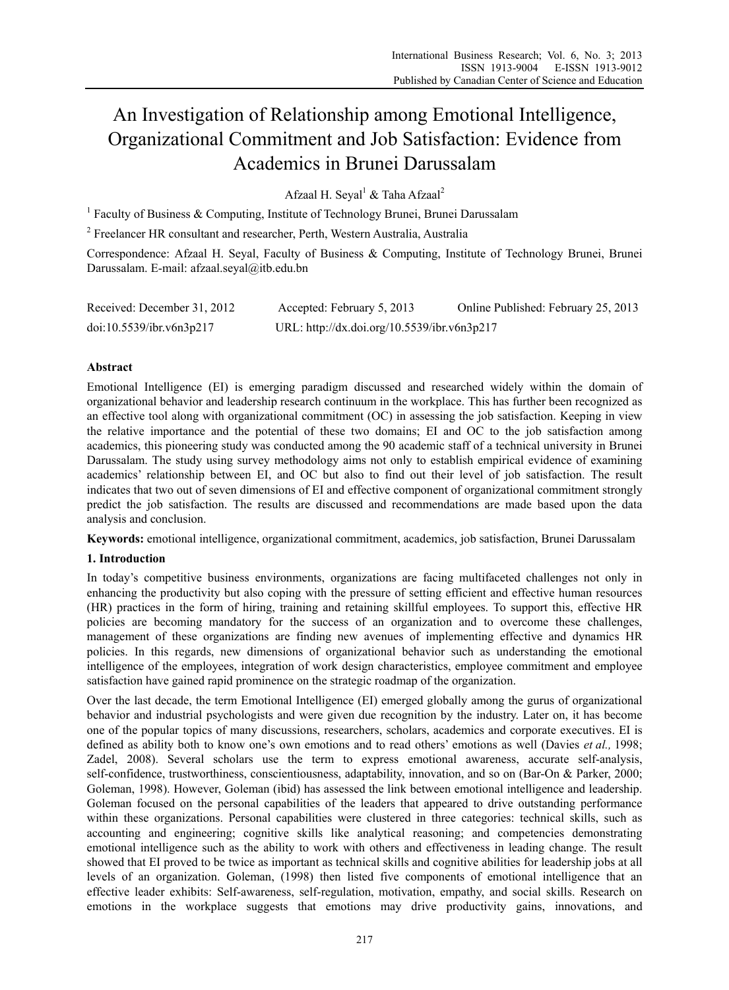# An Investigation of Relationship among Emotional Intelligence, Organizational Commitment and Job Satisfaction: Evidence from Academics in Brunei Darussalam

Afzaal H. Seyal<sup>1</sup> & Taha Afzaal<sup>2</sup>

<sup>1</sup> Faculty of Business & Computing, Institute of Technology Brunei, Brunei Darussalam

<sup>2</sup> Freelancer HR consultant and researcher, Perth, Western Australia, Australia

Correspondence: Afzaal H. Seyal, Faculty of Business & Computing, Institute of Technology Brunei, Brunei Darussalam. E-mail: afzaal.seyal@itb.edu.bn

| Received: December 31, 2012 | Accepted: February 5, 2013                  | Online Published: February 25, 2013 |
|-----------------------------|---------------------------------------------|-------------------------------------|
| doi:10.5539/ibr.v6n3p217    | URL: http://dx.doi.org/10.5539/ibr.v6n3p217 |                                     |

# **Abstract**

Emotional Intelligence (EI) is emerging paradigm discussed and researched widely within the domain of organizational behavior and leadership research continuum in the workplace. This has further been recognized as an effective tool along with organizational commitment (OC) in assessing the job satisfaction. Keeping in view the relative importance and the potential of these two domains; EI and OC to the job satisfaction among academics, this pioneering study was conducted among the 90 academic staff of a technical university in Brunei Darussalam. The study using survey methodology aims not only to establish empirical evidence of examining academics' relationship between EI, and OC but also to find out their level of job satisfaction. The result indicates that two out of seven dimensions of EI and effective component of organizational commitment strongly predict the job satisfaction. The results are discussed and recommendations are made based upon the data analysis and conclusion.

**Keywords:** emotional intelligence, organizational commitment, academics, job satisfaction, Brunei Darussalam

# **1. Introduction**

In today's competitive business environments, organizations are facing multifaceted challenges not only in enhancing the productivity but also coping with the pressure of setting efficient and effective human resources (HR) practices in the form of hiring, training and retaining skillful employees. To support this, effective HR policies are becoming mandatory for the success of an organization and to overcome these challenges, management of these organizations are finding new avenues of implementing effective and dynamics HR policies. In this regards, new dimensions of organizational behavior such as understanding the emotional intelligence of the employees, integration of work design characteristics, employee commitment and employee satisfaction have gained rapid prominence on the strategic roadmap of the organization.

Over the last decade, the term Emotional Intelligence (EI) emerged globally among the gurus of organizational behavior and industrial psychologists and were given due recognition by the industry. Later on, it has become one of the popular topics of many discussions, researchers, scholars, academics and corporate executives. EI is defined as ability both to know one's own emotions and to read others' emotions as well (Davies *et al.,* 1998; Zadel, 2008). Several scholars use the term to express emotional awareness, accurate self-analysis, self-confidence, trustworthiness, conscientiousness, adaptability, innovation, and so on (Bar-On & Parker, 2000; Goleman, 1998). However, Goleman (ibid) has assessed the link between emotional intelligence and leadership. Goleman focused on the personal capabilities of the leaders that appeared to drive outstanding performance within these organizations. Personal capabilities were clustered in three categories: technical skills, such as accounting and engineering; cognitive skills like analytical reasoning; and competencies demonstrating emotional intelligence such as the ability to work with others and effectiveness in leading change. The result showed that EI proved to be twice as important as technical skills and cognitive abilities for leadership jobs at all levels of an organization. Goleman, (1998) then listed five components of emotional intelligence that an effective leader exhibits: Self-awareness, self-regulation, motivation, empathy, and social skills. Research on emotions in the workplace suggests that emotions may drive productivity gains, innovations, and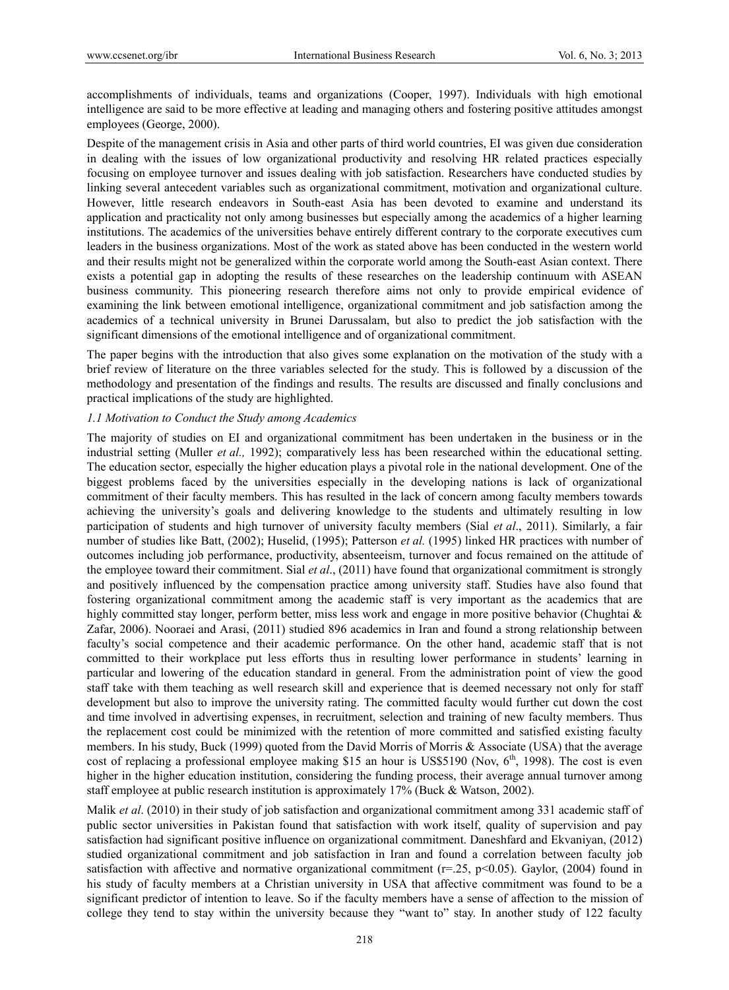accomplishments of individuals, teams and organizations (Cooper, 1997). Individuals with high emotional intelligence are said to be more effective at leading and managing others and fostering positive attitudes amongst employees (George, 2000).

Despite of the management crisis in Asia and other parts of third world countries, EI was given due consideration in dealing with the issues of low organizational productivity and resolving HR related practices especially focusing on employee turnover and issues dealing with job satisfaction. Researchers have conducted studies by linking several antecedent variables such as organizational commitment, motivation and organizational culture. However, little research endeavors in South-east Asia has been devoted to examine and understand its application and practicality not only among businesses but especially among the academics of a higher learning institutions. The academics of the universities behave entirely different contrary to the corporate executives cum leaders in the business organizations. Most of the work as stated above has been conducted in the western world and their results might not be generalized within the corporate world among the South-east Asian context. There exists a potential gap in adopting the results of these researches on the leadership continuum with ASEAN business community. This pioneering research therefore aims not only to provide empirical evidence of examining the link between emotional intelligence, organizational commitment and job satisfaction among the academics of a technical university in Brunei Darussalam, but also to predict the job satisfaction with the significant dimensions of the emotional intelligence and of organizational commitment.

The paper begins with the introduction that also gives some explanation on the motivation of the study with a brief review of literature on the three variables selected for the study. This is followed by a discussion of the methodology and presentation of the findings and results. The results are discussed and finally conclusions and practical implications of the study are highlighted.

#### *1.1 Motivation to Conduct the Study among Academics*

The majority of studies on EI and organizational commitment has been undertaken in the business or in the industrial setting (Muller *et al.,* 1992); comparatively less has been researched within the educational setting. The education sector, especially the higher education plays a pivotal role in the national development. One of the biggest problems faced by the universities especially in the developing nations is lack of organizational commitment of their faculty members. This has resulted in the lack of concern among faculty members towards achieving the university's goals and delivering knowledge to the students and ultimately resulting in low participation of students and high turnover of university faculty members (Sial *et al*., 2011). Similarly, a fair number of studies like Batt, (2002); Huselid, (1995); Patterson *et al.* (1995) linked HR practices with number of outcomes including job performance, productivity, absenteeism, turnover and focus remained on the attitude of the employee toward their commitment. Sial *et al*., (2011) have found that organizational commitment is strongly and positively influenced by the compensation practice among university staff. Studies have also found that fostering organizational commitment among the academic staff is very important as the academics that are highly committed stay longer, perform better, miss less work and engage in more positive behavior (Chughtai & Zafar, 2006). Nooraei and Arasi, (2011) studied 896 academics in Iran and found a strong relationship between faculty's social competence and their academic performance. On the other hand, academic staff that is not committed to their workplace put less efforts thus in resulting lower performance in students' learning in particular and lowering of the education standard in general. From the administration point of view the good staff take with them teaching as well research skill and experience that is deemed necessary not only for staff development but also to improve the university rating. The committed faculty would further cut down the cost and time involved in advertising expenses, in recruitment, selection and training of new faculty members. Thus the replacement cost could be minimized with the retention of more committed and satisfied existing faculty members. In his study, Buck (1999) quoted from the David Morris of Morris & Associate (USA) that the average cost of replacing a professional employee making \$15 an hour is US\$5190 (Nov, 6<sup>th</sup>, 1998). The cost is even higher in the higher education institution, considering the funding process, their average annual turnover among staff employee at public research institution is approximately 17% (Buck & Watson, 2002).

Malik *et al*. (2010) in their study of job satisfaction and organizational commitment among 331 academic staff of public sector universities in Pakistan found that satisfaction with work itself, quality of supervision and pay satisfaction had significant positive influence on organizational commitment. Daneshfard and Ekvaniyan, (2012) studied organizational commitment and job satisfaction in Iran and found a correlation between faculty job satisfaction with affective and normative organizational commitment ( $r=25$ ,  $p<0.05$ ). Gaylor, (2004) found in his study of faculty members at a Christian university in USA that affective commitment was found to be a significant predictor of intention to leave. So if the faculty members have a sense of affection to the mission of college they tend to stay within the university because they "want to" stay. In another study of 122 faculty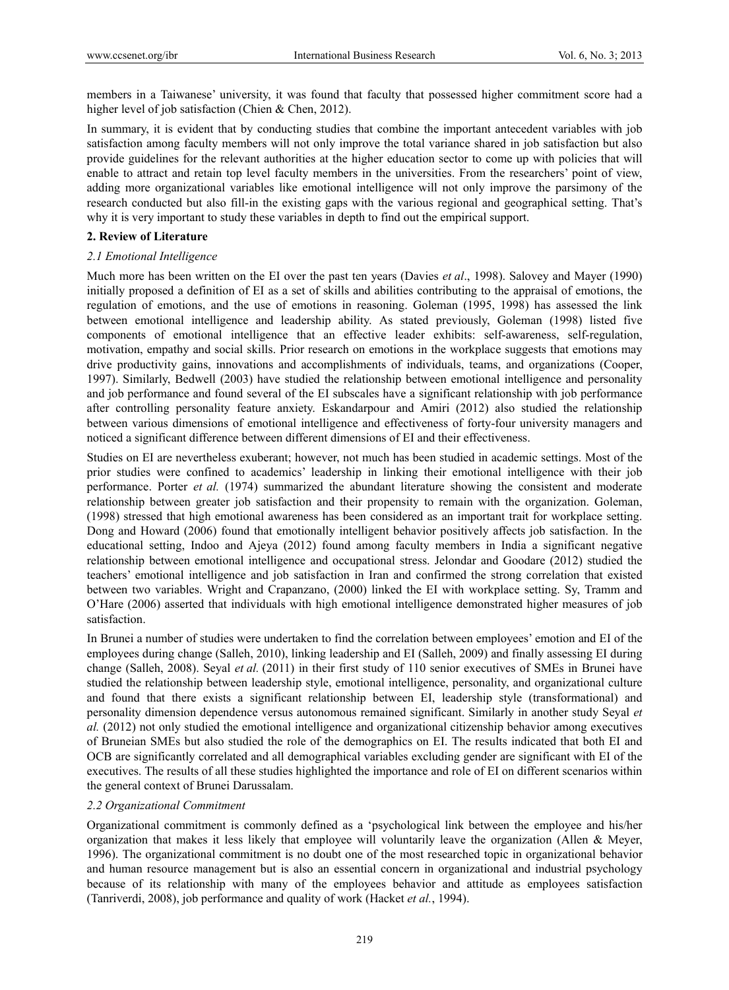members in a Taiwanese' university, it was found that faculty that possessed higher commitment score had a higher level of job satisfaction (Chien & Chen, 2012).

In summary, it is evident that by conducting studies that combine the important antecedent variables with job satisfaction among faculty members will not only improve the total variance shared in job satisfaction but also provide guidelines for the relevant authorities at the higher education sector to come up with policies that will enable to attract and retain top level faculty members in the universities. From the researchers' point of view, adding more organizational variables like emotional intelligence will not only improve the parsimony of the research conducted but also fill-in the existing gaps with the various regional and geographical setting. That's why it is very important to study these variables in depth to find out the empirical support.

# **2. Review of Literature**

# *2.1 Emotional Intelligence*

Much more has been written on the EI over the past ten years (Davies *et al*., 1998). Salovey and Mayer (1990) initially proposed a definition of EI as a set of skills and abilities contributing to the appraisal of emotions, the regulation of emotions, and the use of emotions in reasoning. Goleman (1995, 1998) has assessed the link between emotional intelligence and leadership ability. As stated previously, Goleman (1998) listed five components of emotional intelligence that an effective leader exhibits: self-awareness, self-regulation, motivation, empathy and social skills. Prior research on emotions in the workplace suggests that emotions may drive productivity gains, innovations and accomplishments of individuals, teams, and organizations (Cooper, 1997). Similarly, Bedwell (2003) have studied the relationship between emotional intelligence and personality and job performance and found several of the EI subscales have a significant relationship with job performance after controlling personality feature anxiety. Eskandarpour and Amiri (2012) also studied the relationship between various dimensions of emotional intelligence and effectiveness of forty-four university managers and noticed a significant difference between different dimensions of EI and their effectiveness.

Studies on EI are nevertheless exuberant; however, not much has been studied in academic settings. Most of the prior studies were confined to academics' leadership in linking their emotional intelligence with their job performance. Porter *et al.* (1974) summarized the abundant literature showing the consistent and moderate relationship between greater job satisfaction and their propensity to remain with the organization. Goleman, (1998) stressed that high emotional awareness has been considered as an important trait for workplace setting. Dong and Howard (2006) found that emotionally intelligent behavior positively affects job satisfaction. In the educational setting, Indoo and Ajeya (2012) found among faculty members in India a significant negative relationship between emotional intelligence and occupational stress. Jelondar and Goodare (2012) studied the teachers' emotional intelligence and job satisfaction in Iran and confirmed the strong correlation that existed between two variables. Wright and Crapanzano, (2000) linked the EI with workplace setting. Sy, Tramm and O'Hare (2006) asserted that individuals with high emotional intelligence demonstrated higher measures of job satisfaction.

In Brunei a number of studies were undertaken to find the correlation between employees' emotion and EI of the employees during change (Salleh, 2010), linking leadership and EI (Salleh, 2009) and finally assessing EI during change (Salleh, 2008). Seyal *et al.* (2011) in their first study of 110 senior executives of SMEs in Brunei have studied the relationship between leadership style, emotional intelligence, personality, and organizational culture and found that there exists a significant relationship between EI, leadership style (transformational) and personality dimension dependence versus autonomous remained significant. Similarly in another study Seyal *et al.* (2012) not only studied the emotional intelligence and organizational citizenship behavior among executives of Bruneian SMEs but also studied the role of the demographics on EI. The results indicated that both EI and OCB are significantly correlated and all demographical variables excluding gender are significant with EI of the executives. The results of all these studies highlighted the importance and role of EI on different scenarios within the general context of Brunei Darussalam.

## *2.2 Organizational Commitment*

Organizational commitment is commonly defined as a 'psychological link between the employee and his/her organization that makes it less likely that employee will voluntarily leave the organization (Allen & Meyer, 1996). The organizational commitment is no doubt one of the most researched topic in organizational behavior and human resource management but is also an essential concern in organizational and industrial psychology because of its relationship with many of the employees behavior and attitude as employees satisfaction (Tanriverdi, 2008), job performance and quality of work (Hacket *et al.*, 1994).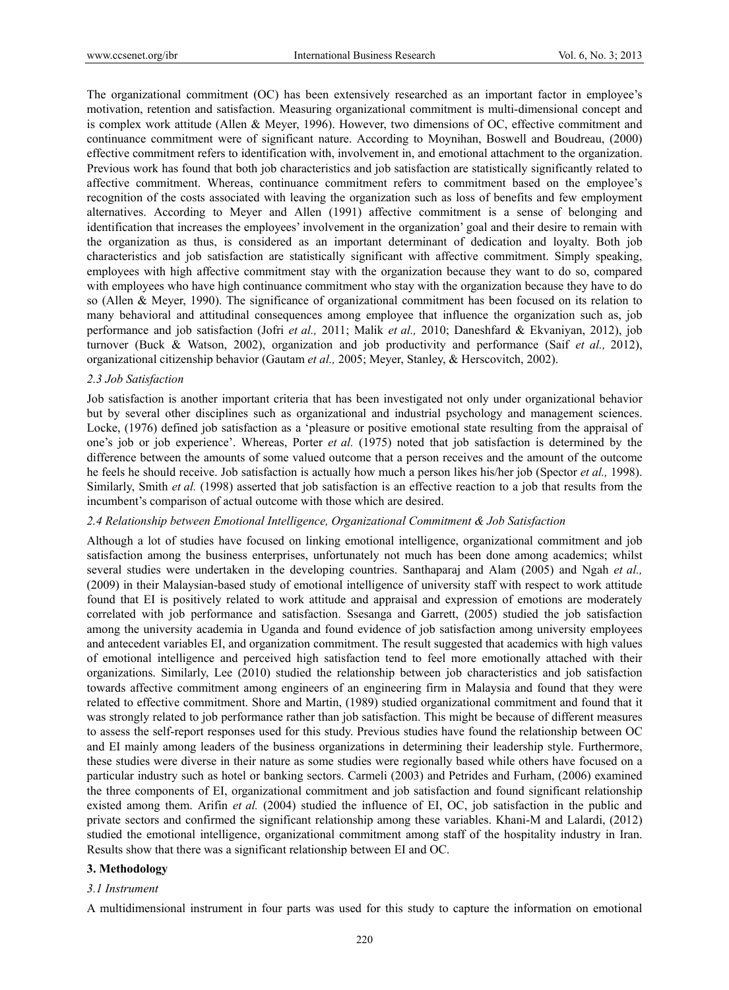The organizational commitment (OC) has been extensively researched as an important factor in employee's motivation, retention and satisfaction. Measuring organizational commitment is multi-dimensional concept and is complex work attitude (Allen & Meyer, 1996). However, two dimensions of OC, effective commitment and continuance commitment were of significant nature. According to Moynihan, Boswell and Boudreau, (2000) effective commitment refers to identification with, involvement in, and emotional attachment to the organization. Previous work has found that both job characteristics and job satisfaction are statistically significantly related to affective commitment. Whereas, continuance commitment refers to commitment based on the employee's recognition of the costs associated with leaving the organization such as loss of benefits and few employment alternatives. According to Meyer and Allen (1991) affective commitment is a sense of belonging and identification that increases the employees' involvement in the organization' goal and their desire to remain with the organization as thus, is considered as an important determinant of dedication and loyalty. Both job characteristics and job satisfaction are statistically significant with affective commitment. Simply speaking, employees with high affective commitment stay with the organization because they want to do so, compared with employees who have high continuance commitment who stay with the organization because they have to do so (Allen & Meyer, 1990). The significance of organizational commitment has been focused on its relation to many behavioral and attitudinal consequences among employee that influence the organization such as, job performance and job satisfaction (Jofri *et al.,* 2011; Malik *et al.,* 2010; Daneshfard & Ekvaniyan, 2012), job turnover (Buck & Watson, 2002), organization and job productivity and performance (Saif *et al.,* 2012), organizational citizenship behavior (Gautam *et al.,* 2005; Meyer, Stanley, & Herscovitch, 2002).

#### *2.3 Job Satisfaction*

Job satisfaction is another important criteria that has been investigated not only under organizational behavior but by several other disciplines such as organizational and industrial psychology and management sciences. Locke, (1976) defined job satisfaction as a 'pleasure or positive emotional state resulting from the appraisal of one's job or job experience'. Whereas, Porter *et al.* (1975) noted that job satisfaction is determined by the difference between the amounts of some valued outcome that a person receives and the amount of the outcome he feels he should receive. Job satisfaction is actually how much a person likes his/her job (Spector *et al.,* 1998). Similarly, Smith *et al.* (1998) asserted that job satisfaction is an effective reaction to a job that results from the incumbent's comparison of actual outcome with those which are desired.

#### *2.4 Relationship between Emotional Intelligence, Organizational Commitment & Job Satisfaction*

Although a lot of studies have focused on linking emotional intelligence, organizational commitment and job satisfaction among the business enterprises, unfortunately not much has been done among academics; whilst several studies were undertaken in the developing countries. Santhaparaj and Alam (2005) and Ngah *et al.,* (2009) in their Malaysian-based study of emotional intelligence of university staff with respect to work attitude found that EI is positively related to work attitude and appraisal and expression of emotions are moderately correlated with job performance and satisfaction. Ssesanga and Garrett, (2005) studied the job satisfaction among the university academia in Uganda and found evidence of job satisfaction among university employees and antecedent variables EI, and organization commitment. The result suggested that academics with high values of emotional intelligence and perceived high satisfaction tend to feel more emotionally attached with their organizations. Similarly, Lee (2010) studied the relationship between job characteristics and job satisfaction towards affective commitment among engineers of an engineering firm in Malaysia and found that they were related to effective commitment. Shore and Martin, (1989) studied organizational commitment and found that it was strongly related to job performance rather than job satisfaction. This might be because of different measures to assess the self-report responses used for this study. Previous studies have found the relationship between OC and EI mainly among leaders of the business organizations in determining their leadership style. Furthermore, these studies were diverse in their nature as some studies were regionally based while others have focused on a particular industry such as hotel or banking sectors. Carmeli (2003) and Petrides and Furham, (2006) examined the three components of EI, organizational commitment and job satisfaction and found significant relationship existed among them. Arifin *et al.* (2004) studied the influence of EI, OC, job satisfaction in the public and private sectors and confirmed the significant relationship among these variables. Khani-M and Lalardi, (2012) studied the emotional intelligence, organizational commitment among staff of the hospitality industry in Iran. Results show that there was a significant relationship between EI and OC.

## **3. Methodology**

#### *3.1 Instrument*

A multidimensional instrument in four parts was used for this study to capture the information on emotional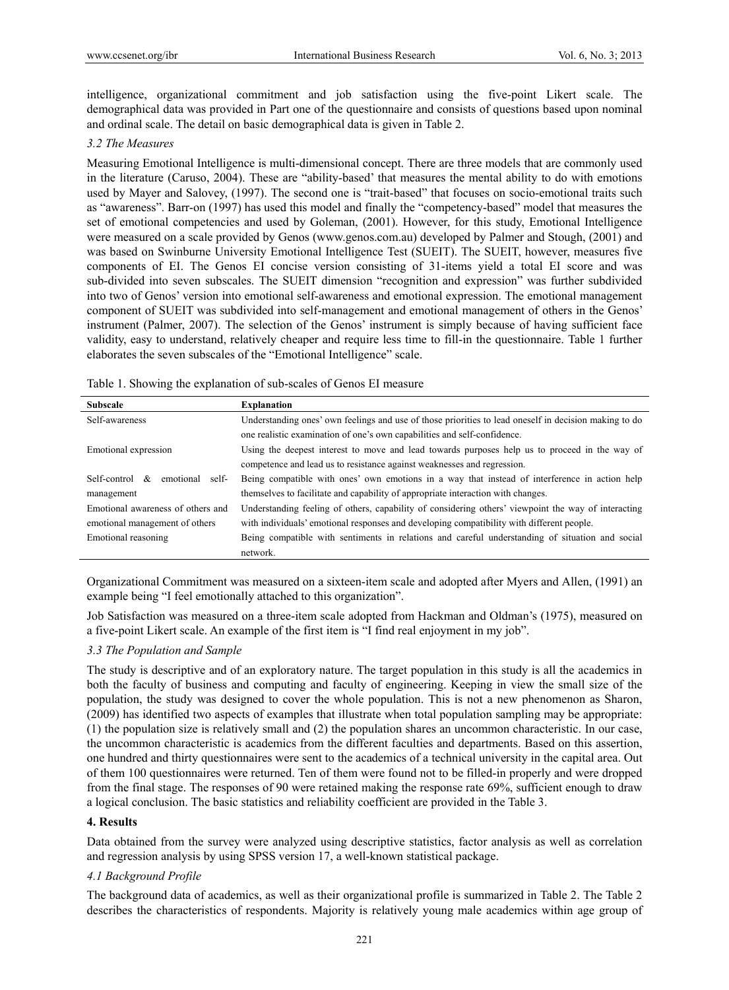intelligence, organizational commitment and job satisfaction using the five-point Likert scale. The demographical data was provided in Part one of the questionnaire and consists of questions based upon nominal and ordinal scale. The detail on basic demographical data is given in Table 2.

## *3.2 The Measures*

Measuring Emotional Intelligence is multi-dimensional concept. There are three models that are commonly used in the literature (Caruso, 2004). These are "ability-based' that measures the mental ability to do with emotions used by Mayer and Salovey, (1997). The second one is "trait-based" that focuses on socio-emotional traits such as "awareness". Barr-on (1997) has used this model and finally the "competency-based" model that measures the set of emotional competencies and used by Goleman, (2001). However, for this study, Emotional Intelligence were measured on a scale provided by Genos (www.genos.com.au) developed by Palmer and Stough, (2001) and was based on Swinburne University Emotional Intelligence Test (SUEIT). The SUEIT, however, measures five components of EI. The Genos EI concise version consisting of 31-items yield a total EI score and was sub-divided into seven subscales. The SUEIT dimension "recognition and expression" was further subdivided into two of Genos' version into emotional self-awareness and emotional expression. The emotional management component of SUEIT was subdivided into self-management and emotional management of others in the Genos' instrument (Palmer, 2007). The selection of the Genos' instrument is simply because of having sufficient face validity, easy to understand, relatively cheaper and require less time to fill-in the questionnaire. Table 1 further elaborates the seven subscales of the "Emotional Intelligence" scale.

|  | Table 1. Showing the explanation of sub-scales of Genos EI measure |  |  |
|--|--------------------------------------------------------------------|--|--|
|  |                                                                    |  |  |

| <b>Subscale</b>                         | <b>Explanation</b>                                                                                    |  |  |  |  |
|-----------------------------------------|-------------------------------------------------------------------------------------------------------|--|--|--|--|
| Self-awareness                          | Understanding ones' own feelings and use of those priorities to lead oneself in decision making to do |  |  |  |  |
|                                         | one realistic examination of one's own capabilities and self-confidence.                              |  |  |  |  |
| Emotional expression                    | Using the deepest interest to move and lead towards purposes help us to proceed in the way of         |  |  |  |  |
|                                         | competence and lead us to resistance against weaknesses and regression.                               |  |  |  |  |
| Self-control $\&$<br>emotional<br>self- | Being compatible with ones' own emotions in a way that instead of interference in action help         |  |  |  |  |
| management                              | themselves to facilitate and capability of appropriate interaction with changes.                      |  |  |  |  |
| Emotional awareness of others and       | Understanding feeling of others, capability of considering others' viewpoint the way of interacting   |  |  |  |  |
| emotional management of others          | with individuals' emotional responses and developing compatibility with different people.             |  |  |  |  |
| Emotional reasoning                     | Being compatible with sentiments in relations and careful understanding of situation and social       |  |  |  |  |
|                                         | network.                                                                                              |  |  |  |  |

Organizational Commitment was measured on a sixteen-item scale and adopted after Myers and Allen, (1991) an example being "I feel emotionally attached to this organization".

Job Satisfaction was measured on a three-item scale adopted from Hackman and Oldman's (1975), measured on a five-point Likert scale. An example of the first item is "I find real enjoyment in my job".

## *3.3 The Population and Sample*

The study is descriptive and of an exploratory nature. The target population in this study is all the academics in both the faculty of business and computing and faculty of engineering. Keeping in view the small size of the population, the study was designed to cover the whole population. This is not a new phenomenon as Sharon, (2009) has identified two aspects of examples that illustrate when total population sampling may be appropriate: (1) the population size is relatively small and (2) the population shares an uncommon characteristic. In our case, the uncommon characteristic is academics from the different faculties and departments. Based on this assertion, one hundred and thirty questionnaires were sent to the academics of a technical university in the capital area. Out of them 100 questionnaires were returned. Ten of them were found not to be filled-in properly and were dropped from the final stage. The responses of 90 were retained making the response rate 69%, sufficient enough to draw a logical conclusion. The basic statistics and reliability coefficient are provided in the Table 3.

## **4. Results**

Data obtained from the survey were analyzed using descriptive statistics, factor analysis as well as correlation and regression analysis by using SPSS version 17, a well-known statistical package.

# *4.1 Background Profile*

The background data of academics, as well as their organizational profile is summarized in Table 2. The Table 2 describes the characteristics of respondents. Majority is relatively young male academics within age group of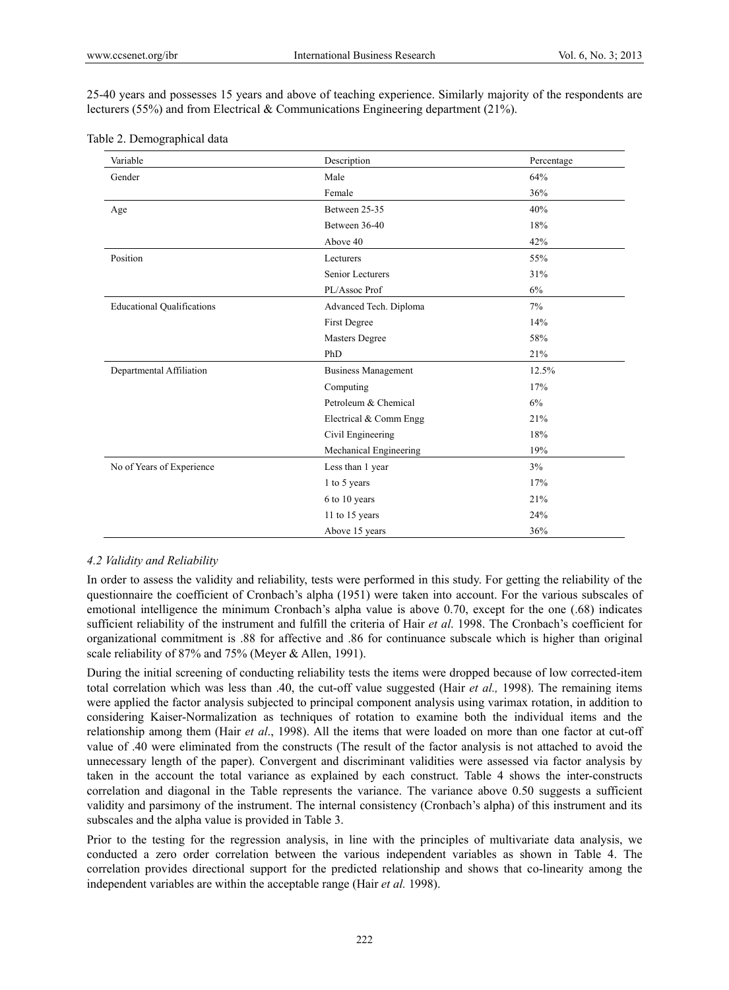25-40 years and possesses 15 years and above of teaching experience. Similarly majority of the respondents are lecturers (55%) and from Electrical & Communications Engineering department (21%).

| Variable                          | Description                | Percentage |
|-----------------------------------|----------------------------|------------|
| Gender                            | Male                       | 64%        |
|                                   | Female                     | 36%        |
| Age                               | Between 25-35              | 40%        |
|                                   | Between 36-40              | 18%        |
|                                   | Above 40                   | 42%        |
| Position                          | Lecturers                  | 55%        |
|                                   | Senior Lecturers           | 31%        |
|                                   | PL/Assoc Prof              | 6%         |
| <b>Educational Qualifications</b> | Advanced Tech. Diploma     | $7\%$      |
|                                   | First Degree               | 14%        |
|                                   | Masters Degree             | 58%        |
|                                   | PhD                        | 21%        |
| Departmental Affiliation          | <b>Business Management</b> | 12.5%      |
|                                   | Computing                  | 17%        |
|                                   | Petroleum & Chemical       | 6%         |
|                                   | Electrical & Comm Engg     | 21%        |
|                                   | Civil Engineering          | 18%        |
|                                   | Mechanical Engineering     | 19%        |
| No of Years of Experience         | Less than 1 year           | 3%         |
|                                   | 1 to 5 years               | 17%        |
|                                   | 6 to 10 years              | 21%        |
|                                   | 11 to 15 years             | 24%        |
|                                   | Above 15 years             | 36%        |

|  | Table 2. Demographical data |  |
|--|-----------------------------|--|
|--|-----------------------------|--|

## *4.2 Validity and Reliability*

In order to assess the validity and reliability, tests were performed in this study. For getting the reliability of the questionnaire the coefficient of Cronbach's alpha (1951) were taken into account. For the various subscales of emotional intelligence the minimum Cronbach's alpha value is above 0.70, except for the one (.68) indicates sufficient reliability of the instrument and fulfill the criteria of Hair *et al*. 1998. The Cronbach's coefficient for organizational commitment is .88 for affective and .86 for continuance subscale which is higher than original scale reliability of 87% and 75% (Meyer & Allen, 1991).

During the initial screening of conducting reliability tests the items were dropped because of low corrected-item total correlation which was less than .40, the cut-off value suggested (Hair *et al.,* 1998). The remaining items were applied the factor analysis subjected to principal component analysis using varimax rotation, in addition to considering Kaiser-Normalization as techniques of rotation to examine both the individual items and the relationship among them (Hair *et al*., 1998). All the items that were loaded on more than one factor at cut-off value of .40 were eliminated from the constructs (The result of the factor analysis is not attached to avoid the unnecessary length of the paper). Convergent and discriminant validities were assessed via factor analysis by taken in the account the total variance as explained by each construct. Table 4 shows the inter-constructs correlation and diagonal in the Table represents the variance. The variance above 0.50 suggests a sufficient validity and parsimony of the instrument. The internal consistency (Cronbach's alpha) of this instrument and its subscales and the alpha value is provided in Table 3.

Prior to the testing for the regression analysis, in line with the principles of multivariate data analysis, we conducted a zero order correlation between the various independent variables as shown in Table 4. The correlation provides directional support for the predicted relationship and shows that co-linearity among the independent variables are within the acceptable range (Hair *et al.* 1998).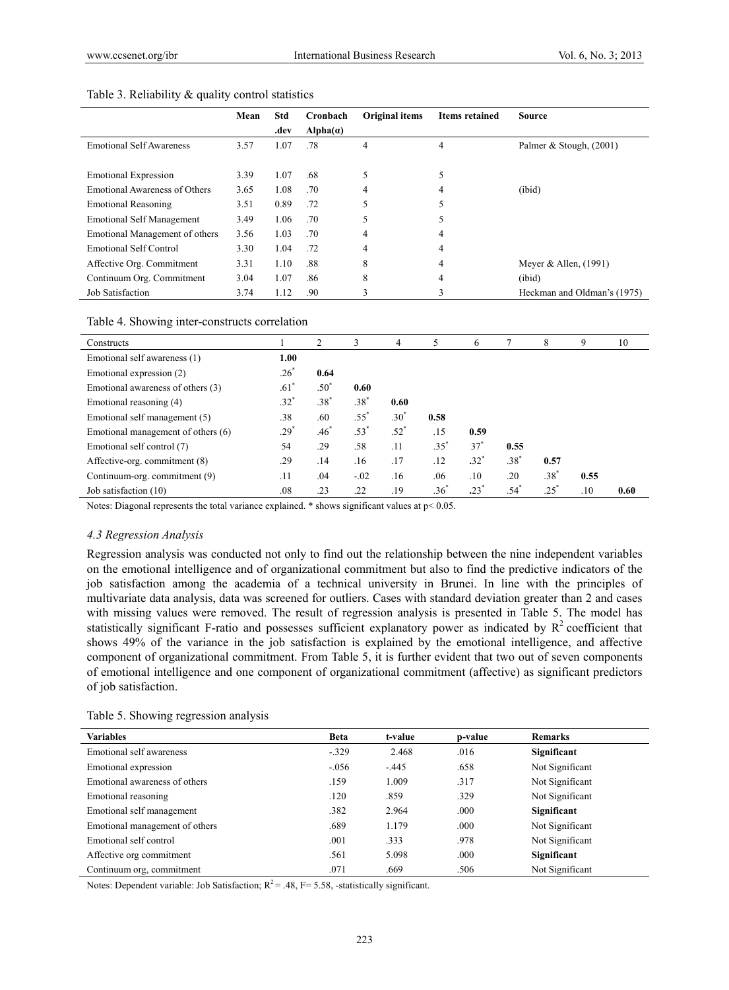|                                      | Mean | Std  | Cronbach        | Original items | <b>Items retained</b> | Source                      |
|--------------------------------------|------|------|-----------------|----------------|-----------------------|-----------------------------|
|                                      |      | .dev | $Alpha(\alpha)$ |                |                       |                             |
| <b>Emotional Self Awareness</b>      | 3.57 | 1.07 | .78             | 4              | 4                     | Palmer & Stough, (2001)     |
|                                      |      |      |                 |                |                       |                             |
| <b>Emotional Expression</b>          | 3.39 | 1.07 | .68             | 5              | 5                     |                             |
| <b>Emotional Awareness of Others</b> | 3.65 | 1.08 | .70             | 4              | 4                     | (ibid)                      |
| <b>Emotional Reasoning</b>           | 3.51 | 0.89 | .72             | 5              |                       |                             |
| <b>Emotional Self Management</b>     | 3.49 | 1.06 | .70             | 5              | 5                     |                             |
| Emotional Management of others       | 3.56 | 1.03 | .70             | 4              | 4                     |                             |
| <b>Emotional Self Control</b>        | 3.30 | 1.04 | .72             | 4              | 4                     |                             |
| Affective Org. Commitment            | 3.31 | 1.10 | .88             | 8              | 4                     | Meyer & Allen, (1991)       |
| Continuum Org. Commitment            | 3.04 | 1.07 | .86             | 8              | 4                     | (ibid)                      |
| Job Satisfaction                     | 3.74 | 1.12 | .90             | 3              |                       | Heckman and Oldman's (1975) |

#### Table 3. Reliability & quality control statistics

#### Table 4. Showing inter-constructs correlation

| Constructs                         |                    | 2       | 3      | $\overline{4}$ | 5      | 6      |           | 8      | 9    | 10   |
|------------------------------------|--------------------|---------|--------|----------------|--------|--------|-----------|--------|------|------|
| Emotional self awareness (1)       | 1.00               |         |        |                |        |        |           |        |      |      |
| Emotional expression (2)           | $.26*$             | 0.64    |        |                |        |        |           |        |      |      |
| Emotional awareness of others (3)  | $.61$ <sup>*</sup> | $.50^*$ | 0.60   |                |        |        |           |        |      |      |
| Emotional reasoning (4)            | $.32*$             | $.38*$  | $.38*$ | 0.60           |        |        |           |        |      |      |
| Emotional self management (5)      | .38                | .60     | $.55*$ | $.30*$         | 0.58   |        |           |        |      |      |
| Emotional management of others (6) | $.29*$             | $.46*$  | $.53*$ | $.52*$         | .15    | 0.59   |           |        |      |      |
| Emotional self control (7)         | $-54$              | .29     | .58    | .11            | $.35*$ | $37^*$ | 0.55      |        |      |      |
| Affective-org. commitment (8)      | .29                | .14     | .16    | .17            | .12    | $.32*$ | $.38*$    | 0.57   |      |      |
| Continuum-org. commitment (9)      | .11                | .04     | $-.02$ | .16            | .06    | .10    | .20       | $.38*$ | 0.55 |      |
| Job satisfaction (10)              | .08                | .23     | .22    | .19            | $.36*$ | $.23*$ | $.54$ $*$ | $.25*$ | .10  | 0.60 |

Notes: Diagonal represents the total variance explained. \* shows significant values at  $p < 0.05$ .

#### *4.3 Regression Analysis*

Regression analysis was conducted not only to find out the relationship between the nine independent variables on the emotional intelligence and of organizational commitment but also to find the predictive indicators of the job satisfaction among the academia of a technical university in Brunei. In line with the principles of multivariate data analysis, data was screened for outliers. Cases with standard deviation greater than 2 and cases with missing values were removed. The result of regression analysis is presented in Table 5. The model has statistically significant F-ratio and possesses sufficient explanatory power as indicated by  $R^2$  coefficient that shows 49% of the variance in the job satisfaction is explained by the emotional intelligence, and affective component of organizational commitment. From Table 5, it is further evident that two out of seven components of emotional intelligence and one component of organizational commitment (affective) as significant predictors of job satisfaction.

|  | Table 5. Showing regression analysis |  |
|--|--------------------------------------|--|
|  |                                      |  |
|  |                                      |  |

| <b>Variables</b>               | <b>Beta</b> | t-value | p-value | <b>Remarks</b>  |
|--------------------------------|-------------|---------|---------|-----------------|
| Emotional self awareness       | $-329$      | 2.468   | .016    | Significant     |
| Emotional expression           | $-.056$     | $-445$  | .658    | Not Significant |
| Emotional awareness of others  | .159        | 1.009   | .317    | Not Significant |
| Emotional reasoning            | .120        | .859    | .329    | Not Significant |
| Emotional self management      | .382        | 2.964   | .000    | Significant     |
| Emotional management of others | .689        | 1.179   | .000    | Not Significant |
| Emotional self control         | .001        | .333    | .978    | Not Significant |
| Affective org commitment       | .561        | 5.098   | .000    | Significant     |
| Continuum org, commitment      | .071        | .669    | .506    | Not Significant |

Notes: Dependent variable: Job Satisfaction;  $R^2 = .48$ ,  $F = 5.58$ , -statistically significant.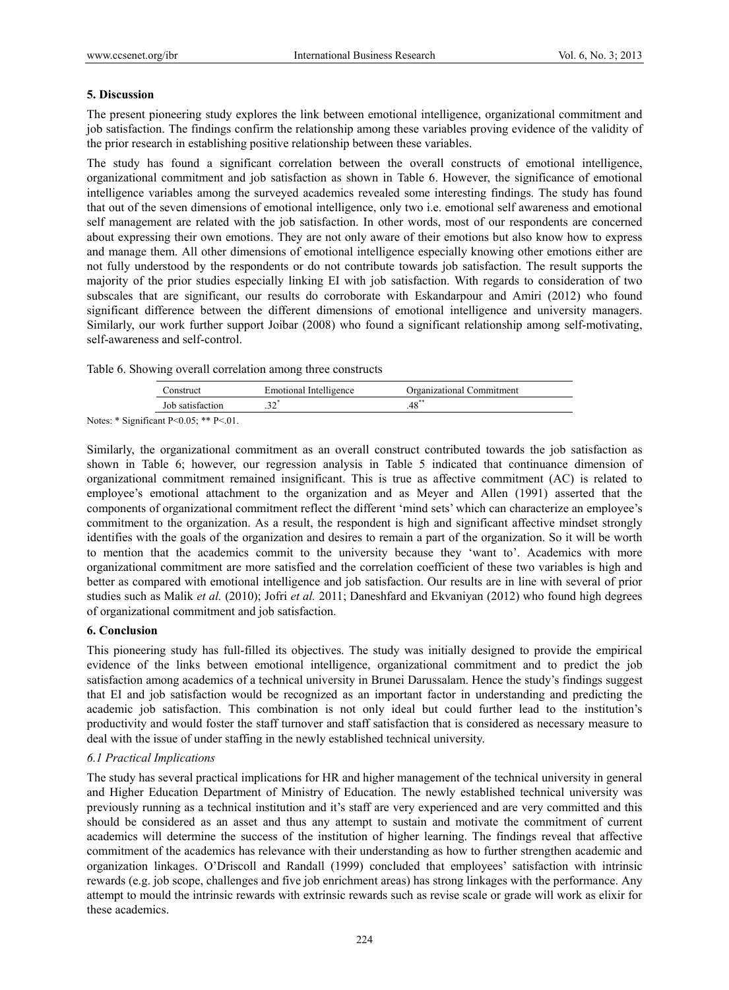## **5. Discussion**

The present pioneering study explores the link between emotional intelligence, organizational commitment and job satisfaction. The findings confirm the relationship among these variables proving evidence of the validity of the prior research in establishing positive relationship between these variables.

The study has found a significant correlation between the overall constructs of emotional intelligence, organizational commitment and job satisfaction as shown in Table 6. However, the significance of emotional intelligence variables among the surveyed academics revealed some interesting findings. The study has found that out of the seven dimensions of emotional intelligence, only two i.e. emotional self awareness and emotional self management are related with the job satisfaction. In other words, most of our respondents are concerned about expressing their own emotions. They are not only aware of their emotions but also know how to express and manage them. All other dimensions of emotional intelligence especially knowing other emotions either are not fully understood by the respondents or do not contribute towards job satisfaction. The result supports the majority of the prior studies especially linking EI with job satisfaction. With regards to consideration of two subscales that are significant, our results do corroborate with Eskandarpour and Amiri (2012) who found significant difference between the different dimensions of emotional intelligence and university managers. Similarly, our work further support Joibar (2008) who found a significant relationship among self-motivating, self-awareness and self-control.

Table 6. Showing overall correlation among three constructs

| .`onstruct       | Emotional Intelligence | Organizational Commitment |
|------------------|------------------------|---------------------------|
| Job satisfaction |                        | 48                        |
|                  |                        |                           |

Notes: \* Significant P<0.05; \*\* P<.01.

Similarly, the organizational commitment as an overall construct contributed towards the job satisfaction as shown in Table 6; however, our regression analysis in Table 5 indicated that continuance dimension of organizational commitment remained insignificant. This is true as affective commitment (AC) is related to employee's emotional attachment to the organization and as Meyer and Allen (1991) asserted that the components of organizational commitment reflect the different 'mind sets' which can characterize an employee's commitment to the organization. As a result, the respondent is high and significant affective mindset strongly identifies with the goals of the organization and desires to remain a part of the organization. So it will be worth to mention that the academics commit to the university because they 'want to'. Academics with more organizational commitment are more satisfied and the correlation coefficient of these two variables is high and better as compared with emotional intelligence and job satisfaction. Our results are in line with several of prior studies such as Malik *et al.* (2010); Jofri *et al.* 2011; Daneshfard and Ekvaniyan (2012) who found high degrees of organizational commitment and job satisfaction.

## **6. Conclusion**

This pioneering study has full-filled its objectives. The study was initially designed to provide the empirical evidence of the links between emotional intelligence, organizational commitment and to predict the job satisfaction among academics of a technical university in Brunei Darussalam. Hence the study's findings suggest that EI and job satisfaction would be recognized as an important factor in understanding and predicting the academic job satisfaction. This combination is not only ideal but could further lead to the institution's productivity and would foster the staff turnover and staff satisfaction that is considered as necessary measure to deal with the issue of under staffing in the newly established technical university.

# *6.1 Practical Implications*

The study has several practical implications for HR and higher management of the technical university in general and Higher Education Department of Ministry of Education. The newly established technical university was previously running as a technical institution and it's staff are very experienced and are very committed and this should be considered as an asset and thus any attempt to sustain and motivate the commitment of current academics will determine the success of the institution of higher learning. The findings reveal that affective commitment of the academics has relevance with their understanding as how to further strengthen academic and organization linkages. O'Driscoll and Randall (1999) concluded that employees' satisfaction with intrinsic rewards (e.g. job scope, challenges and five job enrichment areas) has strong linkages with the performance. Any attempt to mould the intrinsic rewards with extrinsic rewards such as revise scale or grade will work as elixir for these academics.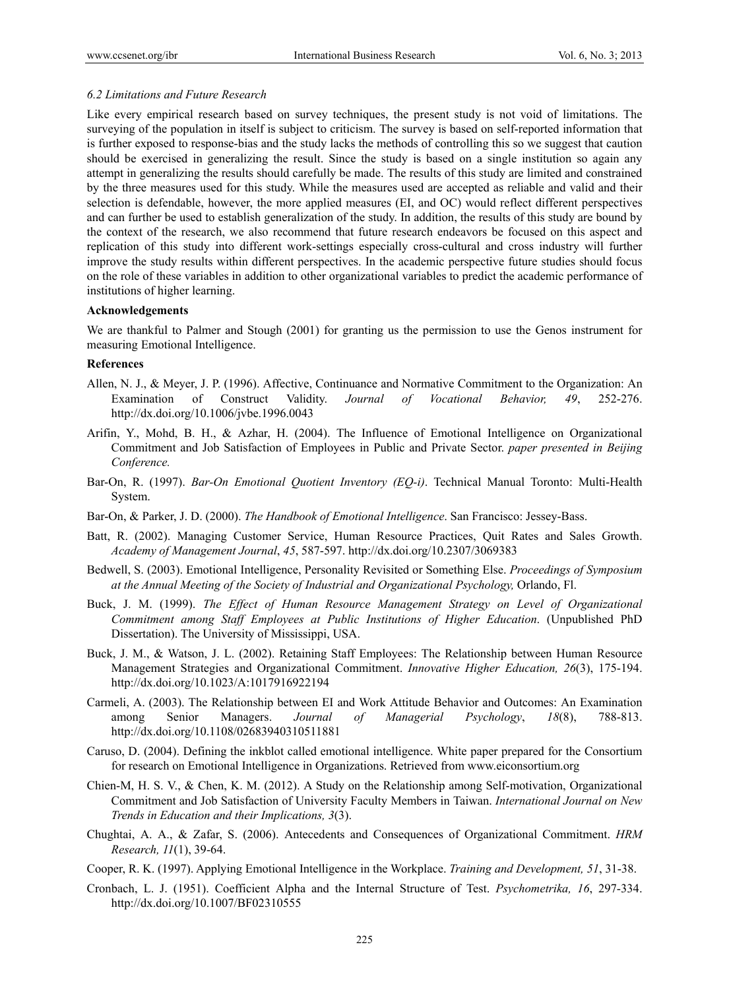# *6.2 Limitations and Future Research*

Like every empirical research based on survey techniques, the present study is not void of limitations. The surveying of the population in itself is subject to criticism. The survey is based on self-reported information that is further exposed to response-bias and the study lacks the methods of controlling this so we suggest that caution should be exercised in generalizing the result. Since the study is based on a single institution so again any attempt in generalizing the results should carefully be made. The results of this study are limited and constrained by the three measures used for this study. While the measures used are accepted as reliable and valid and their selection is defendable, however, the more applied measures (EI, and OC) would reflect different perspectives and can further be used to establish generalization of the study. In addition, the results of this study are bound by the context of the research, we also recommend that future research endeavors be focused on this aspect and replication of this study into different work-settings especially cross-cultural and cross industry will further improve the study results within different perspectives. In the academic perspective future studies should focus on the role of these variables in addition to other organizational variables to predict the academic performance of institutions of higher learning.

## **Acknowledgements**

We are thankful to Palmer and Stough (2001) for granting us the permission to use the Genos instrument for measuring Emotional Intelligence.

## **References**

- Allen, N. J., & Meyer, J. P. (1996). Affective, Continuance and Normative Commitment to the Organization: An Examination of Construct Validity. *Journal of Vocational Behavior, 49*, 252-276. http://dx.doi.org/10.1006/jvbe.1996.0043
- Arifin, Y., Mohd, B. H., & Azhar, H. (2004). The Influence of Emotional Intelligence on Organizational Commitment and Job Satisfaction of Employees in Public and Private Sector. *paper presented in Beijing Conference.*
- Bar-On, R. (1997). *Bar-On Emotional Quotient Inventory (EQ-i)*. Technical Manual Toronto: Multi-Health System.
- Bar-On, & Parker, J. D. (2000). *The Handbook of Emotional Intelligence*. San Francisco: Jessey-Bass.
- Batt, R. (2002). Managing Customer Service, Human Resource Practices, Quit Rates and Sales Growth. *Academy of Management Journal*, *45*, 587-597. http://dx.doi.org/10.2307/3069383
- Bedwell, S. (2003). Emotional Intelligence, Personality Revisited or Something Else. *Proceedings of Symposium at the Annual Meeting of the Society of Industrial and Organizational Psychology,* Orlando, Fl.
- Buck, J. M. (1999). *The Effect of Human Resource Management Strategy on Level of Organizational Commitment among Staff Employees at Public Institutions of Higher Education*. (Unpublished PhD Dissertation). The University of Mississippi, USA.
- Buck, J. M., & Watson, J. L. (2002). Retaining Staff Employees: The Relationship between Human Resource Management Strategies and Organizational Commitment. *Innovative Higher Education, 26*(3), 175-194. http://dx.doi.org/10.1023/A:1017916922194
- Carmeli, A. (2003). The Relationship between EI and Work Attitude Behavior and Outcomes: An Examination among Senior Managers. *Journal of Managerial Psychology*, *18*(8), 788-813. http://dx.doi.org/10.1108/02683940310511881
- Caruso, D. (2004). Defining the inkblot called emotional intelligence. White paper prepared for the Consortium for research on Emotional Intelligence in Organizations. Retrieved from www.eiconsortium.org
- Chien-M, H. S. V., & Chen, K. M. (2012). A Study on the Relationship among Self-motivation, Organizational Commitment and Job Satisfaction of University Faculty Members in Taiwan. *International Journal on New Trends in Education and their Implications, 3*(3).
- Chughtai, A. A., & Zafar, S. (2006). Antecedents and Consequences of Organizational Commitment. *HRM Research, 11*(1), 39-64.
- Cooper, R. K. (1997). Applying Emotional Intelligence in the Workplace. *Training and Development, 51*, 31-38.
- Cronbach, L. J. (1951). Coefficient Alpha and the Internal Structure of Test. *Psychometrika, 16*, 297-334. http://dx.doi.org/10.1007/BF02310555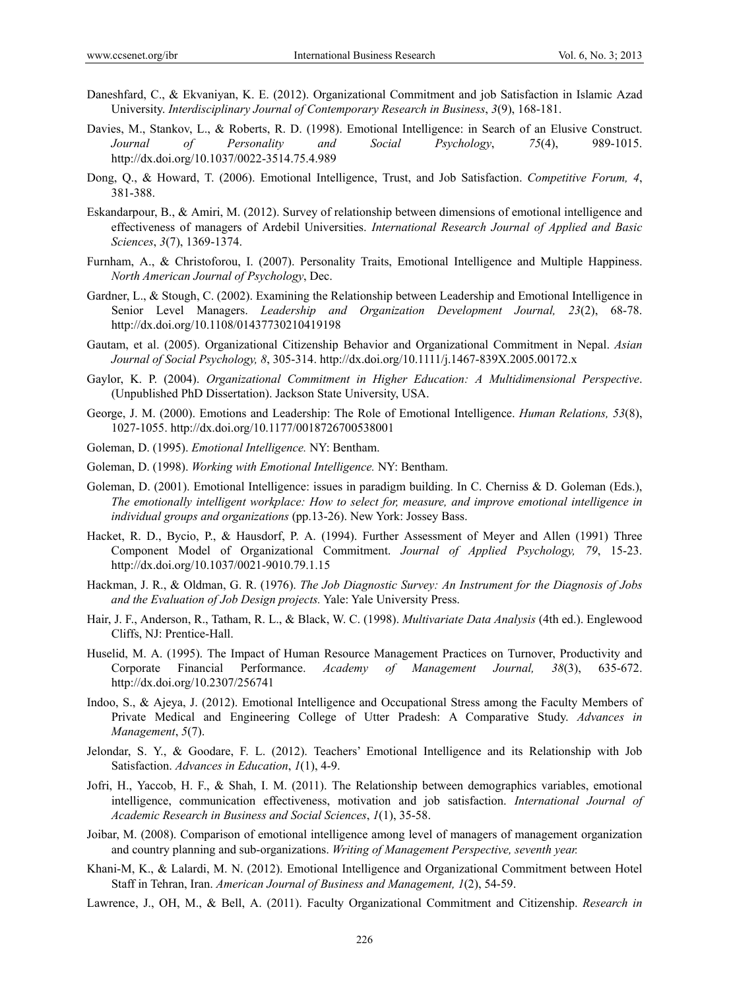- Daneshfard, C., & Ekvaniyan, K. E. (2012). Organizational Commitment and job Satisfaction in Islamic Azad University. *Interdisciplinary Journal of Contemporary Research in Business*, *3*(9), 168-181.
- Davies, M., Stankov, L., & Roberts, R. D. (1998). Emotional Intelligence: in Search of an Elusive Construct. *Journal of Personality and Social Psychology*, *75*(4), 989-1015. http://dx.doi.org/10.1037/0022-3514.75.4.989
- Dong, Q., & Howard, T. (2006). Emotional Intelligence, Trust, and Job Satisfaction. *Competitive Forum, 4*, 381-388.
- Eskandarpour, B., & Amiri, M. (2012). Survey of relationship between dimensions of emotional intelligence and effectiveness of managers of Ardebil Universities. *International Research Journal of Applied and Basic Sciences*, *3*(7), 1369-1374.
- Furnham, A., & Christoforou, I. (2007). Personality Traits, Emotional Intelligence and Multiple Happiness. *North American Journal of Psychology*, Dec.
- Gardner, L., & Stough, C. (2002). Examining the Relationship between Leadership and Emotional Intelligence in Senior Level Managers. *Leadership and Organization Development Journal, 23*(2), 68-78. http://dx.doi.org/10.1108/01437730210419198
- Gautam, et al. (2005). Organizational Citizenship Behavior and Organizational Commitment in Nepal. *Asian Journal of Social Psychology, 8*, 305-314. http://dx.doi.org/10.1111/j.1467-839X.2005.00172.x
- Gaylor, K. P. (2004). *Organizational Commitment in Higher Education: A Multidimensional Perspective*. (Unpublished PhD Dissertation). Jackson State University, USA.
- George, J. M. (2000). Emotions and Leadership: The Role of Emotional Intelligence. *Human Relations, 53*(8), 1027-1055. http://dx.doi.org/10.1177/0018726700538001
- Goleman, D. (1995). *Emotional Intelligence.* NY: Bentham.
- Goleman, D. (1998). *Working with Emotional Intelligence.* NY: Bentham.
- Goleman, D. (2001). Emotional Intelligence: issues in paradigm building. In C. Cherniss & D. Goleman (Eds.), *The emotionally intelligent workplace: How to select for, measure, and improve emotional intelligence in individual groups and organizations* (pp.13-26). New York: Jossey Bass.
- Hacket, R. D., Bycio, P., & Hausdorf, P. A. (1994). Further Assessment of Meyer and Allen (1991) Three Component Model of Organizational Commitment. *Journal of Applied Psychology, 79*, 15-23. http://dx.doi.org/10.1037/0021-9010.79.1.15
- Hackman, J. R., & Oldman, G. R. (1976). *The Job Diagnostic Survey: An Instrument for the Diagnosis of Jobs and the Evaluation of Job Design projects.* Yale: Yale University Press.
- Hair, J. F., Anderson, R., Tatham, R. L., & Black, W. C. (1998). *Multivariate Data Analysis* (4th ed.). Englewood Cliffs, NJ: Prentice-Hall.
- Huselid, M. A. (1995). The Impact of Human Resource Management Practices on Turnover, Productivity and Corporate Financial Performance. *Academy of Management Journal, 38*(3), 635-672. http://dx.doi.org/10.2307/256741
- Indoo, S., & Ajeya, J. (2012). Emotional Intelligence and Occupational Stress among the Faculty Members of Private Medical and Engineering College of Utter Pradesh: A Comparative Study. *Advances in Management*, *5*(7).
- Jelondar, S. Y., & Goodare, F. L. (2012). Teachers' Emotional Intelligence and its Relationship with Job Satisfaction. *Advances in Education*, *1*(1), 4-9.
- Jofri, H., Yaccob, H. F., & Shah, I. M. (2011). The Relationship between demographics variables, emotional intelligence, communication effectiveness, motivation and job satisfaction. *International Journal of Academic Research in Business and Social Sciences*, *1*(1), 35-58.
- Joibar, M. (2008). Comparison of emotional intelligence among level of managers of management organization and country planning and sub-organizations. *Writing of Management Perspective, seventh year.*
- Khani-M, K., & Lalardi, M. N. (2012). Emotional Intelligence and Organizational Commitment between Hotel Staff in Tehran, Iran. *American Journal of Business and Management, 1*(2), 54-59.
- Lawrence, J., OH, M., & Bell, A. (2011). Faculty Organizational Commitment and Citizenship. *Research in*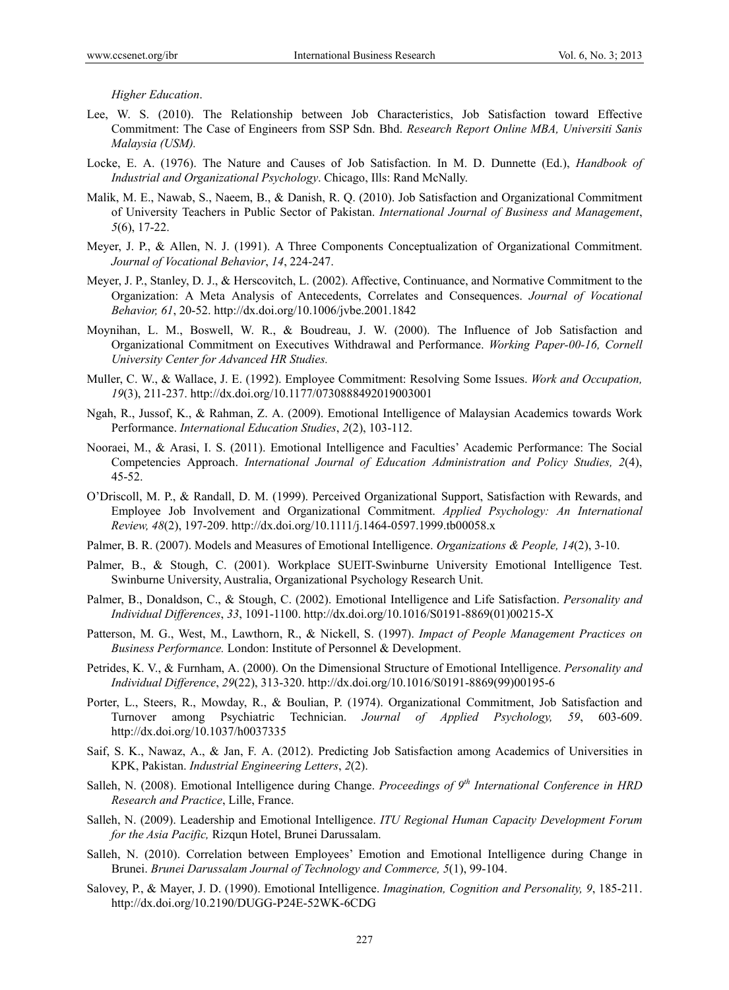*Higher Education*.

- Lee, W. S. (2010). The Relationship between Job Characteristics, Job Satisfaction toward Effective Commitment: The Case of Engineers from SSP Sdn. Bhd. *Research Report Online MBA, Universiti Sanis Malaysia (USM).*
- Locke, E. A. (1976). The Nature and Causes of Job Satisfaction. In M. D. Dunnette (Ed.), *Handbook of Industrial and Organizational Psychology*. Chicago, Ills: Rand McNally.
- Malik, M. E., Nawab, S., Naeem, B., & Danish, R. Q. (2010). Job Satisfaction and Organizational Commitment of University Teachers in Public Sector of Pakistan. *International Journal of Business and Management*, *5*(6), 17-22.
- Meyer, J. P., & Allen, N. J. (1991). A Three Components Conceptualization of Organizational Commitment. *Journal of Vocational Behavior*, *14*, 224-247.
- Meyer, J. P., Stanley, D. J., & Herscovitch, L. (2002). Affective, Continuance, and Normative Commitment to the Organization: A Meta Analysis of Antecedents, Correlates and Consequences. *Journal of Vocational Behavior, 61*, 20-52. http://dx.doi.org/10.1006/jvbe.2001.1842
- Moynihan, L. M., Boswell, W. R., & Boudreau, J. W. (2000). The Influence of Job Satisfaction and Organizational Commitment on Executives Withdrawal and Performance. *Working Paper-00-16, Cornell University Center for Advanced HR Studies.*
- Muller, C. W., & Wallace, J. E. (1992). Employee Commitment: Resolving Some Issues. *Work and Occupation, 19*(3), 211-237. http://dx.doi.org/10.1177/0730888492019003001
- Ngah, R., Jussof, K., & Rahman, Z. A. (2009). Emotional Intelligence of Malaysian Academics towards Work Performance. *International Education Studies*, *2*(2), 103-112.
- Nooraei, M., & Arasi, I. S. (2011). Emotional Intelligence and Faculties' Academic Performance: The Social Competencies Approach. *International Journal of Education Administration and Policy Studies, 2*(4), 45-52.
- O'Driscoll, M. P., & Randall, D. M. (1999). Perceived Organizational Support, Satisfaction with Rewards, and Employee Job Involvement and Organizational Commitment. *Applied Psychology: An International Review, 48*(2), 197-209. http://dx.doi.org/10.1111/j.1464-0597.1999.tb00058.x
- Palmer, B. R. (2007). Models and Measures of Emotional Intelligence. *Organizations & People, 14*(2), 3-10.
- Palmer, B., & Stough, C. (2001). Workplace SUEIT-Swinburne University Emotional Intelligence Test. Swinburne University, Australia, Organizational Psychology Research Unit.
- Palmer, B., Donaldson, C., & Stough, C. (2002). Emotional Intelligence and Life Satisfaction. *Personality and Individual Differences*, *33*, 1091-1100. http://dx.doi.org/10.1016/S0191-8869(01)00215-X
- Patterson, M. G., West, M., Lawthorn, R., & Nickell, S. (1997). *Impact of People Management Practices on Business Performance.* London: Institute of Personnel & Development.
- Petrides, K. V., & Furnham, A. (2000). On the Dimensional Structure of Emotional Intelligence. *Personality and Individual Difference*, *29*(22), 313-320. http://dx.doi.org/10.1016/S0191-8869(99)00195-6
- Porter, L., Steers, R., Mowday, R., & Boulian, P. (1974). Organizational Commitment, Job Satisfaction and Turnover among Psychiatric Technician. *Journal of Applied Psychology, 59*, 603-609. http://dx.doi.org/10.1037/h0037335
- Saif, S. K., Nawaz, A., & Jan, F. A. (2012). Predicting Job Satisfaction among Academics of Universities in KPK, Pakistan. *Industrial Engineering Letters*, *2*(2).
- Salleh, N. (2008). Emotional Intelligence during Change. *Proceedings of*  $9<sup>th</sup>$  International Conference in HRD *Research and Practice*, Lille, France.
- Salleh, N. (2009). Leadership and Emotional Intelligence. *ITU Regional Human Capacity Development Forum for the Asia Pacific,* Rizqun Hotel, Brunei Darussalam.
- Salleh, N. (2010). Correlation between Employees' Emotion and Emotional Intelligence during Change in Brunei. *Brunei Darussalam Journal of Technology and Commerce, 5*(1), 99-104.
- Salovey, P., & Mayer, J. D. (1990). Emotional Intelligence. *Imagination, Cognition and Personality, 9*, 185-211. http://dx.doi.org/10.2190/DUGG-P24E-52WK-6CDG